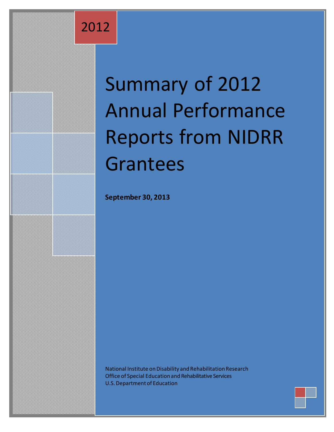2012

# Summary of 2012 Annual Performance Reports from NIDRR Grantees

**September 30, 2013**

National Institute on Disability and Rehabilitation Research Office of Special Education and Rehabilitative Services U.S. Department of Education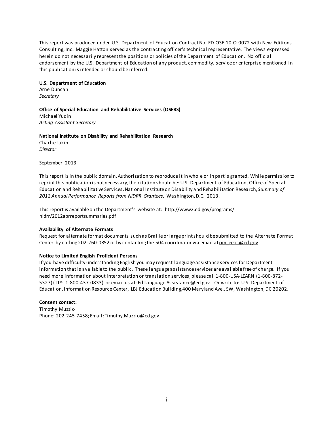This report was produced under U.S. Department of Education Contract No. ED-OSE-10-O-0072 with New Editions Consulting, Inc. Maggie Hatton served as the contracting officer's technical representative. The views expressed herein do not necessarily represent the positions or policies of the Department of Education. No official endorsement by the U.S. Department of Education of any product, commodity, service or enterprise mentioned in this publication is intended or should be inferred.

## **U.S. Department of Education**

Arne Duncan *Secretary*

**Office of Special Education and Rehabilitative Services (OSERS)** Michael Yudin *Acting Assistant Secretary*

**National Institute on Disability and Rehabilitation Research** Charlie Lakin

*Director*

September 2013

This report is in the public domain. Authorization to reproduce it in whole or in part is granted. While permission to reprint this publication is not necessary, the citation should be: U.S. Department of Education, Office of Special Education and Rehabilitative Services,National Institute on Disability and Rehabilitation Research, *Summary of 2012 Annual Performance Reports from NIDRR Grantees*, Washington, D.C. 2013.

This report is available on the Department's website at: [http://www2.ed.gov/programs/](http://www2.ed.gov/programs/nidrr/2012aprreportsummaries.pdf) [nidrr/2012aprreportsummaries.pdf](http://www2.ed.gov/programs/nidrr/2012aprreportsummaries.pdf)

#### **Availability of Alternate Formats**

Request for alternate format documents such as Braille or large print should be submitted to the Alternate Format Center by calling 202-260-0852 or by contacting the 504 coordinator via email at om\_eeos@ed.gov.

#### **Notice to Limited English Proficient Persons**

If you have difficulty understanding English you may request language assistance services for Department information that is available to the public. These language assistance services are available free of charge. If you need more information about interpretation or translation services, please call 1-800-USA-LEARN (1-800-872- 5327) (TTY: 1-800-437-0833), or email us at: [Ed.Language.Assistance@ed.gov.](mailto:Ed.Language.Assistance@ed.gov) Or write to: U.S. Department of Education, Information Resource Center, LBJ Education Building,400 Maryland Ave., SW, Washington, DC 20202.

#### **Content contact:**

Timothy Muzzio Phone: 202-245-7458; Email: Timothy.Muzzio@ed.gov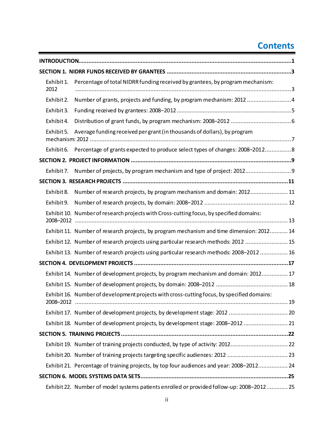# **Contents**

| Exhibit 1.<br>2012 | Percentage of total NIDRR funding received by grantees, by program mechanism:              |
|--------------------|--------------------------------------------------------------------------------------------|
| Exhibit 2.         | Number of grants, projects and funding, by program mechanism: 2012 4                       |
| Exhibit 3.         |                                                                                            |
| Exhibit 4.         |                                                                                            |
| Exhibit 5.         | Average funding received per grant (in thousands of dollars), by program                   |
| Exhibit 6.         | Percentage of grants expected to produce select types of changes: 2008-20128               |
|                    |                                                                                            |
|                    | Exhibit 7. Number of projects, by program mechanism and type of project: 20129             |
|                    |                                                                                            |
| Exhibit 8.         | Number of research projects, by program mechanism and domain: 2012 11                      |
| Exhibit 9.         |                                                                                            |
| 2008-2012          | Exhibit 10. Number of research projects with Cross-cutting focus, by specified domains:    |
|                    | Exhibit 11. Number of research projects, by program mechanism and time dimension: 2012 14  |
|                    | Exhibit 12. Number of research projects using particular research methods: 2012  15        |
|                    | Exhibit 13. Number of research projects using particular research methods: 2008-2012  16   |
|                    |                                                                                            |
|                    | Exhibit 14. Number of development projects, by program mechanism and domain: 2012 17       |
|                    |                                                                                            |
|                    | Exhibit 16. Number of development projects with cross-cutting focus, by specified domains: |
|                    |                                                                                            |
|                    | Exhibit 18. Number of development projects, by development stage: 2008-2012  21            |
|                    |                                                                                            |
|                    | Exhibit 19. Number of training projects conducted, by type of activity: 201222             |
|                    |                                                                                            |
|                    | Exhibit 21. Percentage of training projects, by top four audiences and year: 2008-2012 24  |
|                    |                                                                                            |
|                    | Exhibit 22. Number of model systems patients enrolled or provided follow-up: 2008-2012 25  |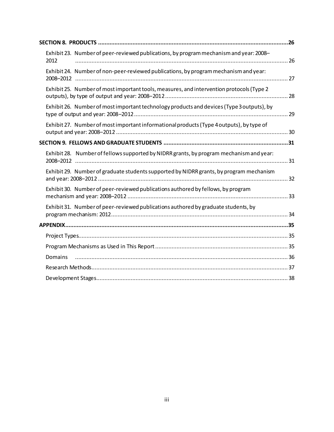| Exhibit 23. Number of peer-reviewed publications, by program mechanism and year: 2008-<br>2012 |  |
|------------------------------------------------------------------------------------------------|--|
| Exhibit 24. Number of non-peer-reviewed publications, by program mechanism and year:           |  |
| Exhibit 25. Number of most important tools, measures, and intervention protocols (Type 2)      |  |
| Exhibit 26. Number of most important technology products and devices (Type 3 outputs), by      |  |
| Exhibit 27. Number of most important informational products (Type 4 outputs), by type of       |  |
|                                                                                                |  |
| Exhibit 28. Number of fellows supported by NIDRR grants, by program mechanism and year:        |  |
| Exhibit 29. Number of graduate students supported by NIDRR grants, by program mechanism        |  |
| Exhibit 30. Number of peer-reviewed publications authored by fellows, by program               |  |
| Exhibit 31. Number of peer-reviewed publications authored by graduate students, by             |  |
|                                                                                                |  |
|                                                                                                |  |
|                                                                                                |  |
| Domains                                                                                        |  |
|                                                                                                |  |
|                                                                                                |  |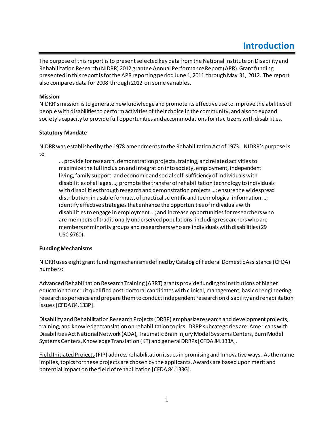<span id="page-4-0"></span>The purpose of this report is to present selected key data from the National Institute on Disability and Rehabilitation Research (NIDRR) 2012 grantee Annual Performance Report (APR). Grant funding presented in this report is for the APR reporting period June 1, 2011 through May 31, 2012. The report also compares data for 2008 through 2012 on some variables.

#### **Mission**

NIDRR's mission is to generate new knowledge and promote its effective use to improve the abilities of people with disabilities to perform activities of their choice in the community, and also to expand society's capacity to provide full opportunities and accommodations for its citizens with disabilities.

#### **Statutory Mandate**

NIDRR was established by the 1978 amendments to the Rehabilitation Act of 1973. NIDRR's purpose is to

… provide for research, demonstration projects, training, and related activitiesto maximize the full inclusion and integration into society, employment, independent living, family support, and economic and social self-sufficiency of individuals with disabilities of all ages …; promote the transfer of rehabilitation technology to individuals with disabilities through research and demonstration projects …; ensure the widespread distribution, in usable formats, of practical scientific and technological information …; identify effective strategies that enhance the opportunities of individuals with disabilities to engage in employment …; and increase opportunities for researchers who are members of traditionally underserved populations, including researchers who are members of minority groups and researchers who are individuals with disabilities (29 USC §760).

#### **Funding Mechanisms**

NIDRR uses eight grant funding mechanisms defined by Catalogof Federal Domestic Assistance (CFDA) numbers:

Advanced Rehabilitation Research Training (ARRT) grants provide funding to institutions of higher education to recruit qualified post-doctoral candidates with clinical, management, basic or engineering research experience and prepare them to conduct independent research on disability and rehabilitation issues[CFDA 84.133P].

Disability and Rehabilitation Research Projects(DRRP) emphasize research and development projects, training, and knowledge translation on rehabilitation topics. DRRP subcategories are: Americans with Disabilities Act National Network (ADA), Traumatic Brain Injury Model Systems Centers, BurnModel Systems Centers, Knowledge Translation (KT) and general DRRPs[CFDA 84.133A].

Field Initiated Projects(FIP) address rehabilitation issues in promising and innovative ways. As the name implies, topics for these projects are chosen by the applicants. Awards are based upon merit and potential impact on the field of rehabilitation [CFDA 84.133G].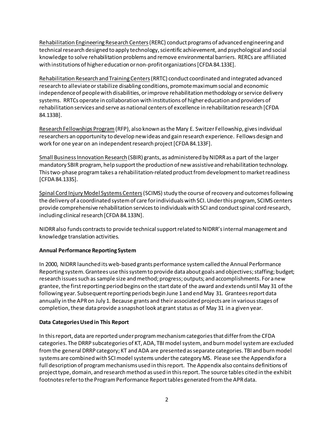Rehabilitation Engineering Research Centers(RERC) conduct programs of advanced engineering and technical research designed to apply technology, scientific achievement, and psychological and social knowledge to solve rehabilitation problems and remove environmental barriers. RERCs are affiliated with institutions of higher education or non-profit organizations [CFDA 84.133E].

Rehabilitation Research and Training Centers(RRTC) conduct coordinated and integrated advanced research to alleviate or stabilize disabling conditions, promote maximum social and economic independence of people with disabilities, or improve rehabilitation methodology or service delivery systems. RRTCs operate in collaboration with institutions of higher education and providers of rehabilitation services and serve as national centers of excellence in rehabilitation research [CFDA 84.133B].

Research Fellowships Program(RFP), also known as the Mary E. Switzer Fellowship, gives individual researchers an opportunity to develop new ideas and gain research experience. Fellows design and work for one year on an independent research project[CFDA 84.133F].

Small Business Innovation Research (SBIR) grants, as administered by NIDRR as a part of the larger mandatory SBIR program, help support the production of new assistive and rehabilitation technology. This two-phase program takes a rehabilitation-related product from development to market readiness [CFDA 84.133S].

Spinal Cord Injury Model Systems Centers(SCIMS) study the course of recovery and outcomes following the delivery of a coordinated system of care for individuals with SCI. Under this program, SCIMS centers provide comprehensive rehabilitation services to individuals with SCI and conduct spinal cord research, including clinical research [CFDA 84.133N].

NIDRR also funds contracts to provide technical support related to NIDRR's internal management and knowledge translation activities.

#### **Annual Performance Reporting System**

In 2000, NIDRR launched its web-based grants performance system called the Annual Performance Reporting system. Grantees use this system to provide data about goals and objectives; staffing; budget; research issues such as sample size and method; progress; outputs; and accomplishments. For a new grantee, the first reporting period begins on the start date of the award and extends until May 31 of the following year. Subsequent reporting periods begin June 1 and end May 31. Grantees report data annually in the APR on July 1. Because grants and their associated projects are in various stages of completion, these data provide a snapshot look at grant status as of May 31 in a given year.

#### **Data Categories Used in This Report**

In this report, data are reported under program mechanism categories that differ from the CFDA categories. The DRRP subcategories of KT, ADA, TBI model system, and burn model system are excluded from the general DRRP category; KT and ADA are presented as separate categories. TBI and burn model systems are combined with SCI model systems under the category MS. Please see the Appendixfor a full description of program mechanisms used in this report. The Appendix also contains definitions of project type, domain, and research method as used in this report. The source tables cited in the exhibit footnotes refer to the Program Performance Report tables generated from the APR data.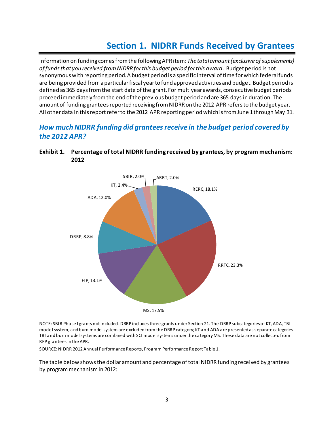# **Section 1. NIDRR Funds Received by Grantees**

<span id="page-6-0"></span>Information on funding comes from the following APR item: *The total amount (exclusive of supplements) of funds that you received from NIDRR for this budget period for this award*. Budget period is not synonymous with reporting period. A budget period is a specific interval of time for which federal funds are being provided from a particular fiscal year to fund approved activities and budget. Budget period is defined as 365 days from the start date of the grant. For multiyear awards, consecutive budget periods proceed immediately from the end of the previous budget period and are 365 days in duration. The amount of funding grantees reported receiving from NIDRR on the 2012 APR refers to the budget year. All other data in this report refer to the 2012 APR reporting period which is from June 1 through May 31.

## *How much NIDRR funding did grantees receive in the budget period covered by the 2012 APR?*



## <span id="page-6-1"></span>**Exhibit 1. Percentage of total NIDRR funding received by grantees, by program mechanism: 2012**

NOTE: SBIR Phase I grants not included. DRRP includes three grants under Section 21. The DRRP subcategories of KT, ADA, TBI model system, and burn model system are excluded from the DRRP category; KT and ADA are presented as separate categories. TBI and burn model systems are combined with SCI model systems underthe category MS. These data are not collected from RFP grantees in the APR.

SOURCE: NIDRR 2012 Annual Performance Reports, Program Performance Report Table 1.

The table below shows the dollar amount and percentage of total NIDRR funding received by grantees by program mechanism in 2012: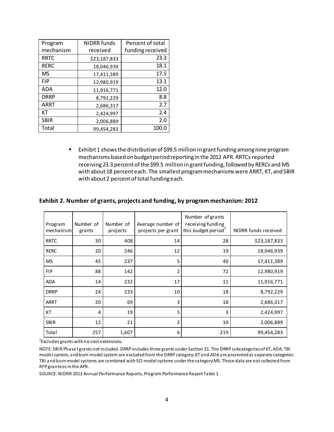| Program     | <b>NIDRR</b> funds | Percent of total |
|-------------|--------------------|------------------|
| mechanism   | received           | funding received |
| <b>RRTC</b> | \$23,187,833       | 23.3             |
| <b>RERC</b> | 18,046,939         | 18.1             |
| <b>MS</b>   | 17,411,389         | 17.5             |
| <b>FIP</b>  | 12,980,919         | 13.1             |
| <b>ADA</b>  | 11,916,771         | 12.0             |
| <b>DRRP</b> | 8,792,229          | 8.8              |
| <b>ARRT</b> | 2,686,317          | 2.7              |
| КT          | 2,424,997          | 2.4              |
| <b>SBIR</b> | 2,006,889          | 2.0              |
| Total       | 99,454,283         | 100.0            |

 Exhibit 1 shows the distribution of \$99.5 million in grant funding among nine program mechanisms based on budget period reporting in the 2012 APR. RRTCs reported receiving 23.3 percent of the \$99.5 million in grant funding, followed by RERCs and MS with about 18 percent each. The smallest programmechanisms were ARRT, KT, and SBIR with about 2 percent of total funding each.

|  | Exhibit 2. Number of grants, projects and funding, by program mechanism: 2012. |  |
|--|--------------------------------------------------------------------------------|--|
|  |                                                                                |  |

<span id="page-7-0"></span>**Exhibit 2. Number of grants, projects and funding, by program mechanism: 2012** 

| Program<br>mechanism | Number of<br>grants | Number of<br>projects | Average number of<br>projects per grant | Number of grants<br>receiving funding<br>this budget period <sup>1</sup> | NIDRR funds received |
|----------------------|---------------------|-----------------------|-----------------------------------------|--------------------------------------------------------------------------|----------------------|
| <b>RRTC</b>          | 30                  | 408                   | 14                                      | 28                                                                       | \$23,187,833         |
| <b>RERC</b>          | 20                  | 246                   | 12                                      | 19                                                                       | 18,046,939           |
| <b>MS</b>            | 45                  | 237                   | 5                                       | 40                                                                       | 17,411,389           |
| <b>FIP</b>           | 88                  | 142                   | 2                                       | 72                                                                       | 12,980,919           |
| <b>ADA</b>           | 14                  | 232                   | 17                                      | 11                                                                       | 11,916,771           |
| <b>DRRP</b>          | 24                  | 233                   | 10                                      | 18                                                                       | 8,792,229            |
| <b>ARRT</b>          | 20                  | 69                    | 3                                       | 18                                                                       | 2,686,317            |
| КT                   | 4                   | 19                    | 5                                       | 3                                                                        | 2,424,997            |
| <b>SBIR</b>          | 12                  | 21                    | 2                                       | 10                                                                       | 2,006,889            |
| Total                | 257                 | 1,607                 | 6                                       | 219                                                                      | 99,454,283           |

 $^1$ Excludes grants with no-cost extensions.

NOTE: SBIR Phase I grants not included. DRRP includes three grants under Section 21. The DRRP subcategories of KT, ADA, TBI model system, and burn model system are excluded from the DRRP category; KT and ADA are presented as separate categories. TBI and burn model systems are combined with SCI model systems under the category MS. These data are not collected from RFP grantees in the APR.

SOURCE: NIDRR 2012 Annual Performance Reports, Program Performance Report Table 1.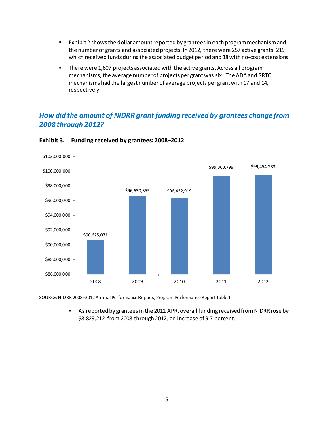- Exhibit 2 shows the dollar amount reported by grantees in each program mechanismand the number of grants and associated projects. In 2012, there were 257 active grants: 219 which received funds during the associated budget period and 38 with no-cost extensions.
- **There were 1,607 projects associated with the active grants. Across all program** mechanisms, the average number of projects per grant was six. The ADA and RRTC mechanisms had the largest number of average projects per grant with 17 and 14, respectively.

## *How did the amount of NIDRR grant funding received by grantees change from 2008 through 2012?*



#### <span id="page-8-0"></span>**Exhibit 3. Funding received by grantees: 2008–2012**

SOURCE: NIDRR 2008–2012 Annual Performance Reports, Program Performance Report Table 1.

 As reported by grantees in the 2012 APR, overall funding received from NIDRR rose by \$8,829,212 from 2008 through 2012, an increase of 9.7 percent.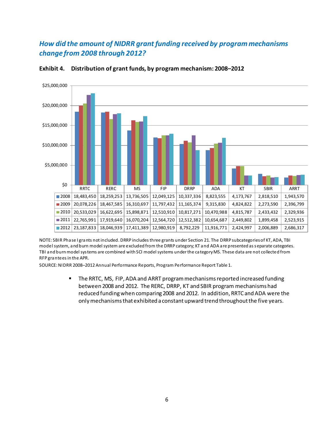## *How did the amount of NIDRR grant funding received by program mechanisms change from 2008 through 2012?*



#### <span id="page-9-0"></span>**Exhibit 4. Distribution of grant funds, by program mechanism: 2008–2012**

NOTE: SBIR Phase I grants not included. DRRP includes three grants under Section 21. The DRRP subcategories of KT, ADA, TBI model system, and burn model system are excluded from the DRRP category; KT and ADA are presented as separate categories. TBI and burn model systems are combined with SCI model systems under the category MS. These data are not collected from RFP grantees in the APR.

SOURCE: NIDRR 2008–2012 Annual Performance Reports, Program Performance Report Table 1.

**The RRTC, MS, FIP, ADA and ARRT program mechanisms reported increased funding** between 2008 and 2012. The RERC, DRRP, KT and SBIR program mechanisms had reduced funding when comparing 2008 and 2012. In addition, RRTC and ADA were the only mechanisms that exhibited a constant upward trend throughout the five years.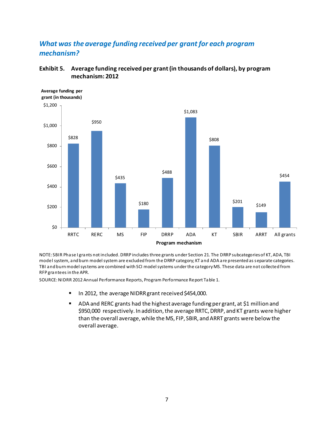## *What was the average funding received per grant for each program mechanism?*



#### <span id="page-10-0"></span>**Exhibit 5. Average funding received per grant(in thousands of dollars), by program mechanism: 2012**

NOTE: SBIR Phase I grants not included. DRRP includes three grants under Section 21. The DRRP subcategories of KT, ADA, TBI model system, and burn model system are excluded from the DRRP category; KT and ADA are presented as separate categories. TBI and burn model systems are combined with SCI model systems under the category MS. These data are not collected from RFP grantees in the APR.

SOURCE: NIDRR 2012 Annual Performance Reports, Program Performance Report Table 1.

- In 2012, the average NIDRR grant received \$454,000.
- ADA and RERC grants had the highest average funding per grant, at \$1 million and \$950,000 respectively. In addition, the average RRTC, DRRP, and KT grants were higher than the overall average, while the MS, FIP, SBIR, and ARRT grants were below the overall average.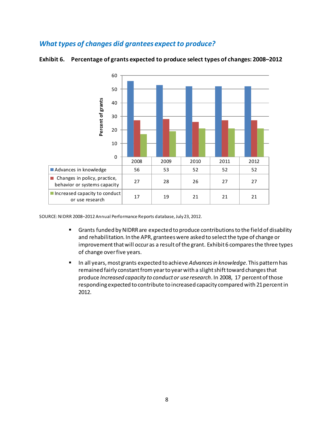## *What types of changes did grantees expect to produce?*



#### <span id="page-11-0"></span>**Exhibit 6. Percentage of grants expected to produce select types of changes: 2008–2012**

SOURCE: NIDRR 2008–2012 Annual Performance Reports database, July 23, 2012.

- Grants funded by NIDRR are expected to produce contributions to the field of disability and rehabilitation. In the APR, grantees were asked to select the type of change or improvement that will occur as a result of the grant. Exhibit 6 compares the three types of change over five years.
- **IFM** In all years, most grants expected to achieve *Advances in knowledge*. This pattern has remained fairly constant from year to yearwith a slight shift toward changes that produce *Increased capacity to conduct or use research*. In 2008, 17 percent of those responding expected to contribute to increased capacity compared with 21 percent in 2012.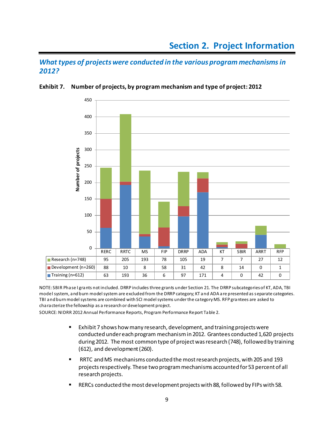<span id="page-12-0"></span>*What types of projects were conducted in the various program mechanisms in 2012?* 



#### <span id="page-12-1"></span>**Exhibit 7. Number of projects, by program mechanism and type of project: 2012**

NOTE: SBIR Phase I grants not included. DRRP includes three grants under Section 21. The DRRP subcategories of KT, ADA, TBI model system, and burn model system are excluded from the DRRP category; KT and ADA are presented as separate categories. TBI and burn model systems are combined with SCI model systems under the category MS. RFP grantees are asked to characterize the fellowship as a research or development project.

SOURCE: NIDRR 2012 Annual Performance Reports, Program Performance Report Table 2.

- Exhibit 7 shows how many research, development, and training projects were conducted under each program mechanism in 2012. Grantees conducted 1,620 projects during 2012. The most common type of project was research (748), followed by training (612), and development (260).
- RRTC and MS mechanisms conducted the most research projects, with 205 and 193 projects respectively. These two program mechanisms accounted for 53 percent of all research projects.
- RERCs conducted the most development projects with 88, followed by FIPs with 58.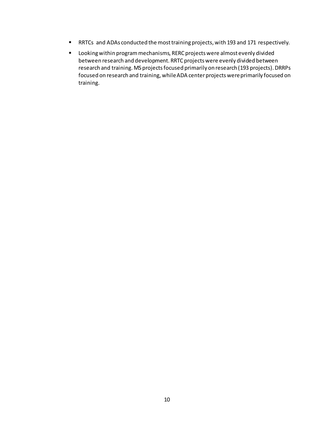- RRTCs and ADAs conducted the most training projects, with 193 and 171 respectively.
- Looking within program mechanisms, RERC projects were almost evenly divided between research and development. RRTC projects were evenly divided between research and training. MS projectsfocused primarily on research (193 projects). DRRPs focused on research and training, while ADA center projects were primarily focused on training.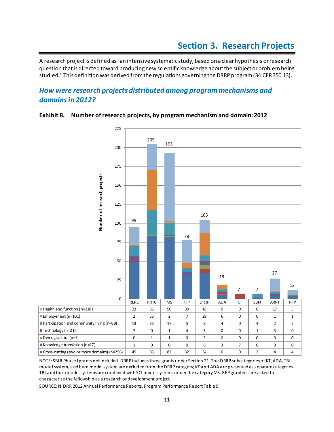## **Section 3. Research Projects**

<span id="page-14-0"></span>A research project is defined as "an intensive systematic study, based on a clear hypothesis or research question that is directed toward producing new scientific knowledge about the subject or problembeing studied." This definition was derived from the regulations governing the DRRP program (34 CFR 350.13).

## *How were research projects distributed among program mechanisms and domains in 2012?*



#### <span id="page-14-1"></span>**Exhibit 8. Number of research projects, by program mechanism and domain: 2012**

NOTE: SBIR Phase I grants not included. DRRP includes three grants under Section 21. The DRRP subcategories of KT, ADA, TBI model system, and burn model system are excluded from the DRRP category; KT and ADA are presented as separate categories. TBI and burn model systems are combined with SCI modelsystems under the category MS. RFP grantees are asked to characterize the fellowship as a research or development project.

SOURCE: NIDRR 2012 Annual Performance Reports, Program Performance Report Table 9.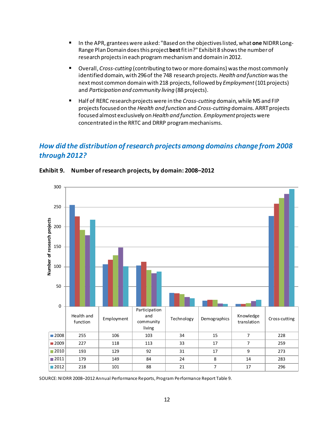- In the APR, grantees were asked: "Based on the objectives listed, what **one** NIDRR Long-Range Plan Domain does this project **best**fit in?" Exhibit 8 shows the numberof research projects in each program mechanism and domain in 2012.
- Overall, *Cross-cutting* (contributing to two or more domains) was the most commonly identified domain, with 296of the 748 research projects. *Health and function* was the next most common domain with 218 projects, followed by *Employment* (101 projects) and *Participation and community living* (88 projects).
- Half of RERC research projects were in the *Cross-cutting* domain, while MS and FIP projects focused on the *Health and function* and *Cross-cutting* domains. ARRT projects focused almost exclusively on *Health and function. Employment* projects were concentrated in the RRTC and DRRP program mechanisms.

## *How did the distribution of research projects among domains change from 2008 through 2012?*



#### <span id="page-15-0"></span>**Exhibit 9. Number of research projects, by domain: 2008–2012**

SOURCE: NIDRR 2008–2012 Annual Performance Reports, Program Performance Report Table 9.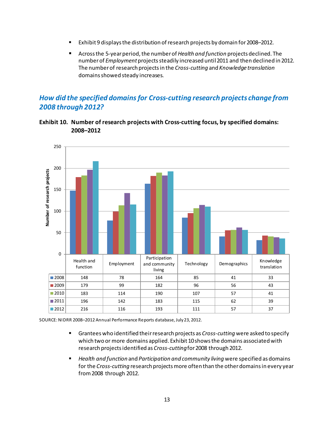- Exhibit 9 displays the distribution of research projects by domain for 2008–2012.
- Across the 5-year period, the number of *Health and function* projects declined. The number of *Employment* projects steadily increased until 2011 and then declined in 2012. The number of research projects in the *Cross-cutting* and *Knowledge translation* domains showed steady increases.

## *How did the specified domains for Cross-cutting research projects change from 2008 through 2012?*

<span id="page-16-0"></span>



SOURCE: NIDRR 2008–2012 Annual Performance Reports database, July 23, 2012.

- Grantees who identified their research projects as *Cross-cutting* were asked to specify which two or more domains applied. Exhibit 10shows the domains associated with research projects identified as *Cross-cutting*for 2008 through 2012.
- *Health and function* and *Participation and community living* were specified as domains for the *Cross-cutting* research projects more often than the other domains in every year from 2008 through 2012.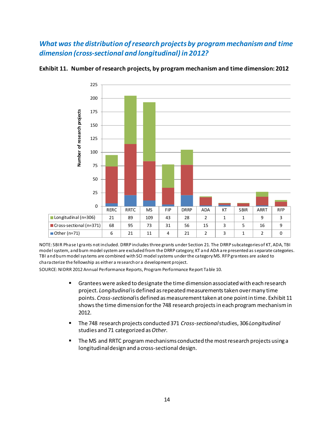## *What was the distribution of research projects by program mechanism and time dimension (cross-sectional and longitudinal) in 2012?*



#### <span id="page-17-0"></span>**Exhibit 11. Number of research projects, by program mechanism and time dimension: 2012**

NOTE: SBIR Phase I grants not included. DRRP includes three grants under Section 21. The DRRP subcategories of KT, ADA, TBI model system, and burn model system are excluded from the DRRP category; KT and ADA are presented as separate categories. TBI and burn model systems are combined with SCI model systems under the category MS. RFP grantees are asked to characterize the fellowship as either a research or a development project.

SOURCE: NIDRR 2012 Annual Performance Reports, Program Performance Report Table 10.

- Grantees were asked to designate the time dimension associated with each research project. *Longitudinal*is defined as repeated measurements taken over many time points. *Cross-sectional*is defined as measurement taken at one point in time. Exhibit 11 shows the time dimension for the 748 research projects in each program mechanism in 2012.
- The 748 research projects conducted 371 *Cross-sectional*studies, 306 *Longitudinal* studies and 71 categorized as *Other*.
- **The MS and RRTC program mechanisms conducted the most research projects using a** longitudinal design and a cross-sectional design.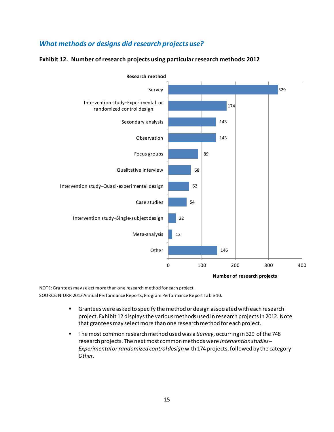## *What methods or designs did research projects use?*

#### <span id="page-18-0"></span>**Exhibit 12. Number of research projects using particular research methods: 2012**



NOTE: Grantees may select more than one research method for each project.

SOURCE: NIDRR 2012 Annual Performance Reports, Program Performance Report Table 10.

- Grantees were asked to specify the method or design associated with each research project. Exhibit 12 displays the various methods used in research projects in 2012. Note that grantees may select more than one research method for each project.
- The most common research method used was a *Survey*, occurring in 329 of the 748 research projects. The next most common methods were *Intervention studies– Experimental or randomized control design* with 174 projects, followed by the category *Other*.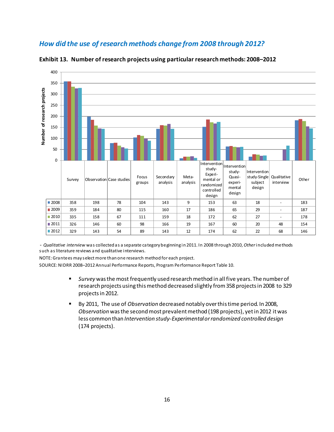## *How did the use of research methods change from 2008 through 2012?*



<span id="page-19-0"></span>**Exhibit 13. Number of research projects using particular research methods: 2008–2012** 

- *Qualitative interview* was collected as a separate category beginning in 2011. In 2008 through 2010, *Other*included methods such as literature reviews and qualitative interviews.

NOTE: Grantees may select more than one research method for each project.

SOURCE: NIDRR 2008–2012 Annual Performance Reports, Program Performance Report Table 10.

- *Survey* was the most frequently used research method in all five years. The number of research projects using this method decreased slightly from 358 projects in 2008 to 329 projects in 2012.
- By 2011, The use of *Observation* decreased notably over this time period. In 2008, *Observation* was the second most prevalent method (198 projects), yet in 2012 it was less common than *Intervention study-Experimental or randomized controlled design* (174 projects).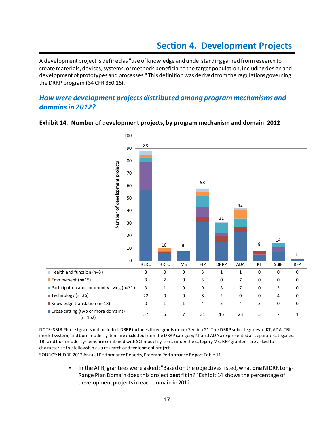<span id="page-20-0"></span>A development project is defined as "use of knowledge and understanding gained from research to create materials, devices, systems, or methods beneficial to the target population, including design and development of prototypes and processes." This definition was derived from the regulations governing the DRRP program (34 CFR 350.16).

## *How were development projects distributed among program mechanisms and domains in 2012?*



#### <span id="page-20-1"></span>**Exhibit 14. Number of development projects, by program mechanism and domain: 2012**

NOTE: SBIR Phase I grants not included. DRRP includes three grants under Section 21. The DRRP subcategories of KT, ADA, TBI model system, and burn model system are excluded from the DRRP category; KT and ADA are presented as separate categories. TBI and burn model systems are combined with SCI model systems under the category MS. RFP grantees are asked to characterize the fellowship as a research or development project.

SOURCE: NIDRR 2012 Annual Performance Reports, Program Performance Report Table 11.

 In the APR, grantees were asked: "Based on the objectives listed, what **one** NIDRR Long-Range Plan Domain does this project **best**fit in?" Exhibit 14 shows the percentage of development projects in each domain in 2012.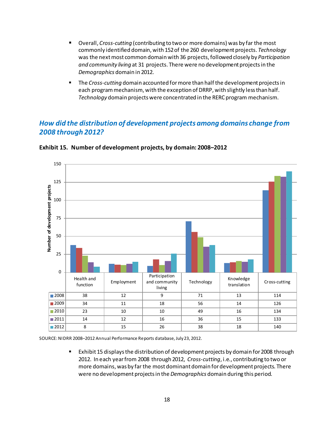- Overall, *Cross-cutting* (contributing to two or more domains) was by far the most commonly identified domain, with 152of the 260 development projects. *Technology* was the next most common domain with 36 projects, followed closely by *Participation and community living* at 31 projects. There were no development projects in the *Demographics* domain in 2012.
- **The Cross-cutting domain accounted for more than half the development projects in** each program mechanism, with the exception of DRRP, with slightly less than half. *Technology* domain projects were concentrated in the RERC program mechanism.

## *How did the distribution of development projects among domains change from 2008 through 2012?*



<span id="page-21-0"></span>**Exhibit 15. Number of development projects, by domain: 2008–2012** 

SOURCE: NIDRR 2008–2012 Annual Performance Reports database, July 23, 2012.

 Exhibit 15 displaysthe distribution of development projects by domain for 2008 through 2012. In each year from 2008 through 2012, *Cross-cutting*, i.e., contributing to two or more domains, was by far the most dominant domain for development projects. There were no development projects in the *Demographics* domain during this period.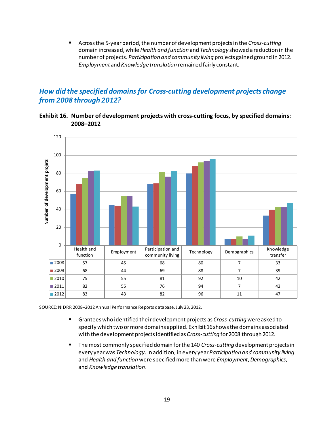Across the 5-year period, the number of development projects in the *Cross-cutting*  domain increased, while *Health and function* and *Technology* showed a reduction in the number of projects. *Participation and community living* projects gained ground in 2012. *Employment* and *Knowledge translation* remained fairly constant.

## *How did the specified domains for Cross-cutting development projects change from 2008 through 2012?*

<span id="page-22-0"></span>



SOURCE: NIDRR 2008–2012 Annual Performance Reports database, July 23, 2012.

- Grantees who identified their development projects as *Cross-cutting* were asked to specify which two or more domains applied. Exhibit 16 shows the domains associated with the development projects identified as *Cross-cutting* for 2008 through 2012.
- The most commonly specified domain for the 140 *Cross-cutting* development projects in every year was *Technology*. In addition, in every year *Participation and community living* and *Health and function* were specified more than were *Employment*, *Demographics*, and *Knowledge translation*.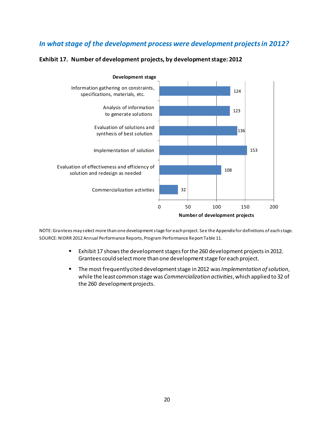## *In what stage of the development process were development projects in 2012?*



#### <span id="page-23-0"></span>**Exhibit 17. Number of development projects, by development stage: 2012**

NOTE:Grantees may select more than one development stage for each project. See the Appendix for definitions of each stage. SOURCE: NIDRR 2012 Annual Performance Reports, Program Performance Report Table 11.

- Exhibit 17 shows the development stages for the 260 development projects in 2012. Grantees could select more than one development stage for each project.
- The most frequently cited development stage in 2012 was *Implementation of solution*, while the least common stage was *Commercialization activities*, which applied to 32 of the 260 development projects.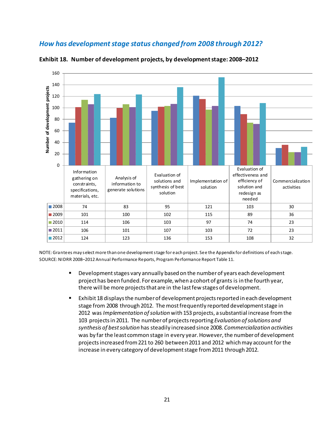## *How has development stage status changed from 2008 through 2012?*



<span id="page-24-0"></span>**Exhibit 18. Number of development projects, by development stage: 2008–2012** 

NOTE: Grantees may select more than one development stage for each project. See the Appendix for definitions of each stage. SOURCE: NIDRR 2008–2012 Annual Performance Reports, Program Performance Report Table 11.

- Development stages vary annually based on the number of years each development project has been funded. For example, when a cohort of grants is in the fourth year, there will be more projects that are in the last few stages of development.
- Exhibit 18 displays the number of development projects reported in each development stage from 2008 through 2012. The most frequently reported development stage in 2012 was *Implementation of solution* with 153 projects, a substantial increase from the 103 projects in 2011. The number of projects reporting *Evaluation of solutions and synthesis of best solution* has steadily increased since 2008. *Commercialization activities* was by far the least common stage in every year. However, the number of development projects increased from 221 to 260 between 2011 and 2012 which may account for the increase in every category of development stage from 2011 through 2012.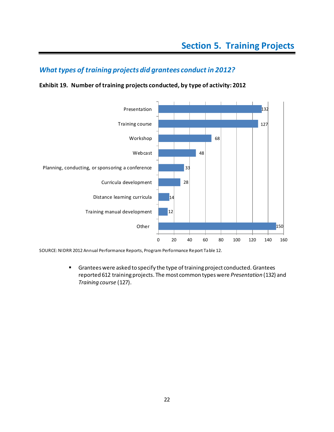## <span id="page-25-0"></span>*What types of training projects did grantees conduct in 2012?*

## <span id="page-25-1"></span>**Exhibit 19. Number of training projects conducted, by type of activity: 2012**



SOURCE: NIDRR 2012 Annual Performance Reports, Program Performance Report Table 12.

 Grantees were asked to specify the type of training project conducted. Grantees reported 612 training projects. The most common types were *Presentation* (132) and *Training course* (127).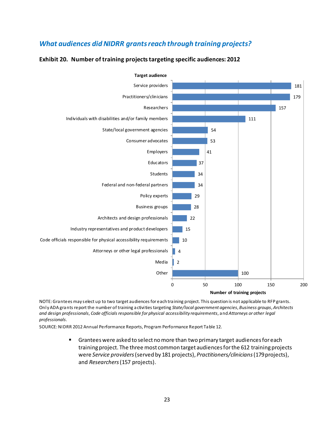## *What audiences did NIDRR grants reach through training projects?*

<span id="page-26-0"></span>



NOTE: Grantees may select up to two target audiences for each training project. This question is not applicable to RFP grants. Only ADA grants report the number of training activities targeting *State/local government agencies*, *Business groups*, *Architects and design professionals*, *Code officials responsible for physical accessibility requirements*, and *Attorneys or other legal professionals*.

SOURCE: NIDRR 2012 Annual Performance Reports, Program Performance Report Table 12.

 Grantees were asked to select no more than two primary target audiences for each training project. The three most common target audiences for the 612 training projects were *Service providers* (served by 181 projects), *Practitioners/clinicians*(179projects), and *Researchers* (157 projects).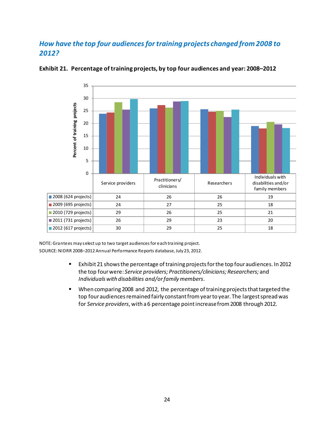## *How have the top four audiences for training projects changed from 2008 to 2012?*



#### <span id="page-27-0"></span>**Exhibit 21. Percentage of training projects, by top four audiences and year: 2008–2012**

NOTE: Grantees may select up to two target audiences for each training project. SOURCE: NIDRR 2008–2012 Annual Performance Reports database, July 23, 2012.

- Exhibit 21 shows the percentage of training projects for the top four audiences. In 2012 the top four were: *Service providers; Practitioners/clinicians; Researchers;* and *Individuals with disabilities and/or family members*.
- When comparing 2008 and 2012, the percentage of training projects that targeted the top four audiences remained fairly constant from year to year. The largest spread was for *Service providers*, with a 6 percentage point increase from 2008 through 2012.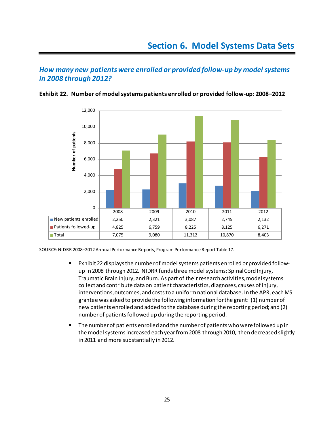## <span id="page-28-0"></span>*How many new patients were enrolled or provided follow-up by model systems in 2008 through 2012?*



<span id="page-28-1"></span>**Exhibit 22. Number of model systems patients enrolled or provided follow-up: 2008–2012** 

SOURCE: NIDRR 2008–2012 Annual Performance Reports, Program Performance Report Table 17.

- Exhibit 22 displays the number of model systems patients enrolled or provided followup in 2008 through 2012. NIDRR funds three model systems: Spinal Cord Injury, Traumatic Brain Injury, and Burn. As part of their research activities, model systems collect and contribute data on patient characteristics, diagnoses, causes of injury, interventions, outcomes, and costs to a uniform national database. In the APR, each MS grantee was asked to provide the following information for the grant: (1) number of new patients enrolled and added to the database during the reporting period; and (2) number of patients followed up during the reporting period.
- The number of patients enrolled and the number of patients who were followed up in the model systems increased each year from 2008 through 2010, then decreased slightly in 2011 and more substantially in 2012.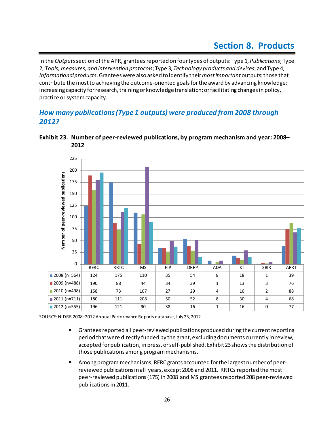<span id="page-29-0"></span>In the *Outputs*section of the APR, grantees reported on four types of outputs: Type 1, *Publications*; Type 2, *Tools, measures, and intervention protocols*; Type 3, *Technology products and devices*; and Type 4, *Informational products*. Grantees were also asked to identify their *most important* outputs: those that contribute the most to achieving the outcome-oriented goals for the award by advancing knowledge; increasing capacity for research, training or knowledge translation; or facilitating changes in policy, practice or system capacity.

## *How many publications (Type 1 outputs) were produced from 2008 through 2012?*



#### <span id="page-29-1"></span>**Exhibit 23. Number of peer-reviewed publications, by program mechanism and year: 2008– 2012**

SOURCE: NIDRR 2008–2012 Annual Performance Reports database, July 23, 2012.

- **F** Grantees reported all peer-reviewed publications produced during the current reporting period that were directly funded by the grant, excluding documents currently in review, accepted for publication, in press, or self-published. Exhibit 23shows the distribution of those publications among program mechanisms.
- Among program mechanisms, RERC grants accounted for the largest number of peerreviewed publicationsin all years, except 2008 and 2011. RRTCs reported the most peer-reviewed publications (175) in 2008 and MS grantees reported 208 peer-reviewed publicationsin 2011.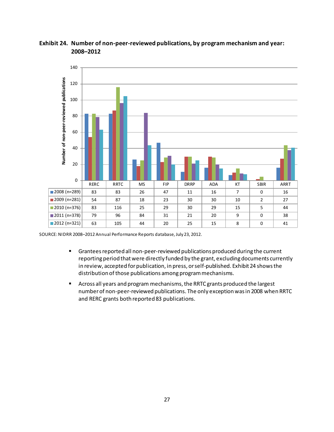

<span id="page-30-0"></span>**Exhibit 24. Number of non-peer-reviewed publications, by program mechanism and year: 2008–2012** 

SOURCE: NIDRR 2008–2012 Annual Performance Reports database, July 23, 2012.

- **F** Grantees reported all non-peer-reviewed publications produced during the current reporting period that were directly funded by the grant, excluding documents currently in review, accepted for publication, in press, or self-published. Exhibit 24 shows the distribution of those publications among program mechanisms.
- Across all years and program mechanisms, the RRTC grants produced the largest number of non-peer-reviewed publications. The only exception was in 2008 when RRTC and RERC grants both reported 83 publications.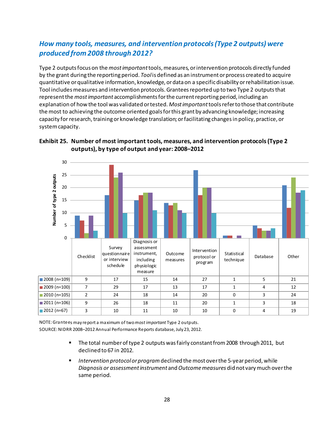## *How many tools, measures, and intervention protocols (Type 2 outputs) were produced from 2008 through 2012?*

Type 2 outputs focus on the *most important*tools, measures, or intervention protocols directly funded by the grant during the reporting period. *Tool*is defined as an instrument or process created to acquire quantitative or qualitative information, knowledge, or data on a specific disability or rehabilitation issue. Tool includes measures and intervention protocols. Grantees reported up to two Type 2 outputs that represent the *most important* accomplishments for the current reporting period, including an explanation of how the tool was validated or tested. *Most important*tools refer to those that contribute the most to achieving the outcome oriented goals for this grant by advancing knowledge; increasing capacity for research, training or knowledge translation; or facilitating changes in policy, practice, or system capacity.



#### <span id="page-31-0"></span>**Exhibit 25. Number of most important tools, measures, and intervention protocols (Type 2 outputs), by type of output and year: 2008–2012**

NOTE: Grantees may report a maximum of two *most important* Type 2 outputs. SOURCE: NIDRR 2008–2012 Annual Performance Reports database, July 23, 2012.

- The total number of type 2 outputs was fairly constant from 2008 through 2011, but declined to 67 in 2012.
- *Intervention protocol or program*declined the most over the 5-year period, while *Diagnosis or assessment instrument* and *Outcome measures* did not vary much over the same period.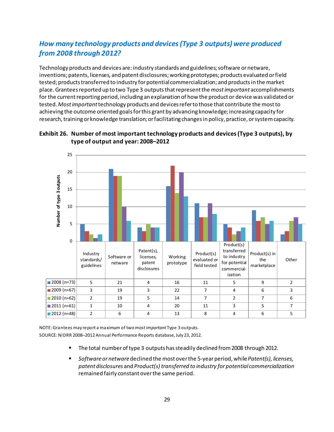## *How many technology products and devices (Type 3 outputs) were produced from 2008 through 2012?*

Technology products and devices are: industry standards and guidelines; software or netware, inventions; patents, licenses, and patent disclosures; working prototypes; products evaluated or field tested; products transferred to industry for potential commercialization; and products in the market place. Grantees reported up to two Type 3 outputs that represent the *most important* accomplishments for the current reporting period, including an explanation of how the product or device was validated or tested. *Most important*technology products and devices refer to those that contribute the most to achieving the outcome oriented goals for this grant by advancing knowledge; increasing capacity for research, training or knowledge translation; or facilitating changes in policy, practice, or system capacity.



#### <span id="page-32-0"></span>**Exhibit 26. Number of most important technology products and devices (Type 3 outputs), by type of output and year: 2008–2012**

NOTE:Grantees may report a maximum of two*mostimportant* Type 3 outputs. SOURCE: NIDRR 2008–2012 Annual Performance Reports database, July 23, 2012.

- **The total number of type 3 outputs has steadily declined from 2008 through 2012.**
- *Software or netware* declined the most over the 5-year period, while *Patent(s), licenses, patent disclosures* and *Product(s) transferred to industry for potential commercialization*  remained fairly constant over the same period.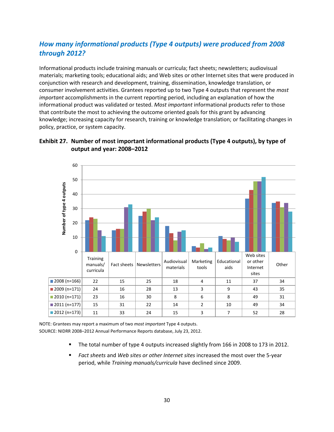## <span id="page-33-0"></span>*How many informational products (Type 4 outputs) were produced from 2008 through 2012?*

Informational products include training manuals or curricula; fact sheets; newsletters; audiovisual materials; marketing tools; educational aids; and Web sites or other Internet sites that were produced in conjunction with research and development, training, dissemination, knowledge translation, or consumer involvement activities. Grantees reported up to two Type 4 outputs that represent the *most important* accomplishments in the current reporting period, including an explanation of how the informational product was validated or tested. *Most important* informational products refer to those that contribute the most to achieving the outcome oriented goals for this grant by advancing knowledge; increasing capacity for research, training or knowledge translation; or facilitating changes in policy, practice, or system capacity.



## **Exhibit 27. Number of most important informational products (Type 4 outputs), by type of output and year: 2008–2012**

NOTE: Grantees may report a maximum of two *most important* Type 4 outputs. SOURCE: NIDRR 2008–2012 Annual Performance Reports database, July 23, 2012.

- The total number of type 4 outputs increased slightly from 166 in 2008 to 173 in 2012.
- *Fact sheets* and *Web sites or other Internet sites* increased the most over the 5-year period, while *Training manuals/curricula* have declined since 2009.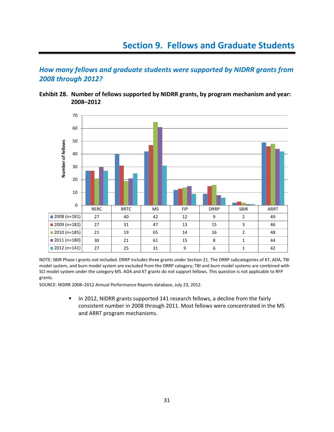<span id="page-34-0"></span>*How many fellows and graduate students were supported by NIDRR grants from 2008 through 2012?* 

**Exhibit 28. Number of fellows supported by NIDRR grants, by program mechanism and year: 2008–2012**



NOTE: SBIR Phase I grants not included. DRRP includes three grants under Section 21. The DRRP subcategories of KT, ADA, TBI model system, and burn model system are excluded from the DRRP category; TBI and burn model systems are combined with SCI model system under the category MS. ADA and KT grants do not support fellows. This question is not applicable to RFP grants.

SOURCE: NIDRR 2008–2012 Annual Performance Reports database, July 23, 2012.

In 2012, NIDRR grants supported 141 research fellows, a decline from the fairly consistent number in 2008 through 2011. Most fellows were concentrated in the MS and ARRT program mechanisms.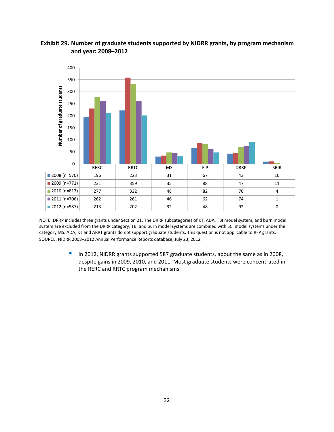<span id="page-35-0"></span>



NOTE: DRRP includes three grants under Section 21. The DRRP subcategories of KT, ADA, TBI model system, and burn model system are excluded from the DRRP category; TBI and burn model systems are combined with SCI model systems under the category MS. ADA, KT and ARRT grants do not support graduate students. This question is not applicable to RFP grants. SOURCE: NIDRR 2008–2012 Annual Performance Reports database, July 23, 2012.

> In 2012, NIDRR grants supported 587 graduate students, about the same as in 2008, despite gains in 2009, 2010, and 2011. Most graduate students were concentrated in the RERC and RRTC program mechanisms.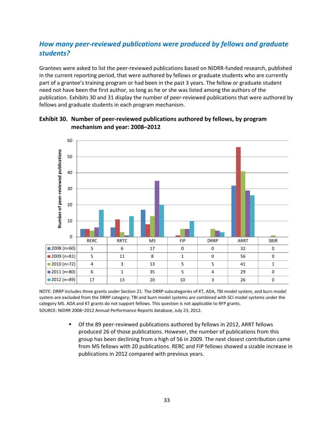## <span id="page-36-0"></span>*How many peer-reviewed publications were produced by fellows and graduate students?*

Grantees were asked to list the peer-reviewed publications based on NIDRR-funded research, published in the current reporting period, that were authored by fellows or graduate students who are currently part of a grantee's training program or had been in the past 3 years. The fellow or graduate student need not have been the first author, so long as he or she was listed among the authors of the publication. Exhibits 30 and 31 display the number of peer-reviewed publications that were authored by fellows and graduate students in each program mechanism.



**Exhibit 30. Number of peer-reviewed publications authored by fellows, by program mechanism and year: 2008–2012**

NOTE: DRRP includes three grants under Section 21. The DRRP subcategories of KT, ADA, TBI model system, and burn model system are excluded from the DRRP category; TBI and burn model systems are combined with SCI model systems under the category MS. ADA and KT grants do not support fellows. This question is not applicable to RFP grants. SOURCE: NIDRR 2008–2012 Annual Performance Reports database, July 23, 2012.

> Of the 89 peer-reviewed publications authored by fellows in 2012, ARRT fellows produced 26 of those publications. However, the number of publications from this group has been declining from a high of 56 in 2009. The next closest contribution came from MS fellows with 20 publications. RERC and FIP fellows showed a sizable increase in publications in 2012 compared with previous years.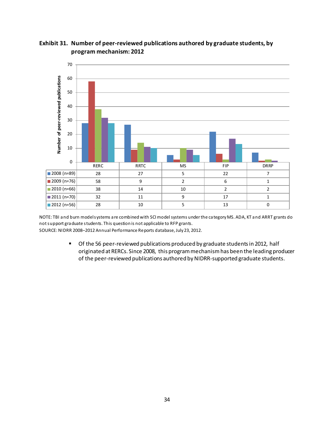

## <span id="page-37-0"></span>**Exhibit 31. Number of peer-reviewed publications authored by graduate students, by program mechanism: 2012**

NOTE: TBI and burn model systems are combined with SCI modelsystems under the category MS. ADA, KT and ARRT grants do not support graduate students. This question is not applicable to RFP grants. SOURCE: NIDRR 2008–2012 Annual Performance Reports database, July 23, 2012.

> **Of the 56 peer-reviewed publications produced by graduate students in 2012, half** originated at RERCs. Since 2008, this program mechanismhas been the leading producer of the peer-reviewed publications authored by NIDRR-supported graduate students.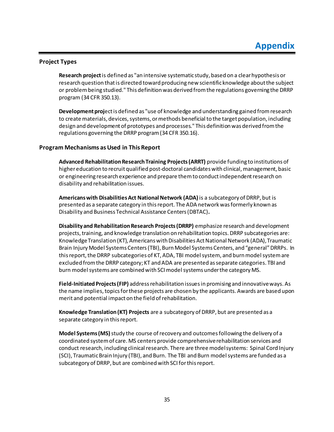#### <span id="page-38-1"></span><span id="page-38-0"></span>**Project Types**

**Research project**is defined as "an intensive systematic study, based on a clear hypothesis or research question that is directed toward producing new scientific knowledge about the subject or problem being studied." This definition was derived from the regulations governing the DRRP program (34 CFR 350.13).

**Development proj**ect is defined as "use of knowledge and understanding gained from research to create materials, devices, systems, or methods beneficial to the target population, including design and development of prototypes and processes." This definition was derived from the regulations governing the DRRP program (34 CFR 350.16).

#### <span id="page-38-2"></span>**Program Mechanisms as Used in This Report**

**Advanced Rehabilitation Research Training Projects (ARRT)** provide funding to institutions of higher education to recruit qualified post-doctoral candidates with clinical, management, basic or engineering research experience and prepare them to conduct independent research on disability and rehabilitation issues.

**Americans with Disabilities Act National Network (ADA)**is a subcategory of DRRP, but is presented as a separate category in this report. The ADA network was formerly known as Disability and Business Technical Assistance Centers (DBTAC)**.** 

**Disability and Rehabilitation Research Projects (DRRP)** emphasize research and development projects, training, and knowledge translation on rehabilitation topics. DRRP subcategories are: Knowledge Translation (KT), Americans with Disabilities Act National Network (ADA), Traumatic Brain Injury Model Systems Centers(TBI), Burn Model Systems Centers, and "general" DRRPs. In this report, the DRRP subcategories of KT, ADA, TBI model system, and burn model system are excluded from the DRRP category; KT and ADA are presented as separate categories. TBI and burn model systems are combined with SCI model systems under the category MS.

**Field-Initiated Projects (FIP)** address rehabilitation issues in promising and innovative ways. As the name implies, topics for these projects are chosen by the applicants. Awards are based upon merit and potential impact on the field of rehabilitation.

**Knowledge Translation (KT) Projects** are a subcategory of DRRP, but are presented as a separate category in this report.

**Model Systems (MS)** study the course of recovery and outcomes following the delivery of a coordinated system of care. MS centers provide comprehensive rehabilitation services and conduct research, including clinical research. There are three model systems: Spinal Cord Injury (SCI), Traumatic Brain Injury (TBI), and Burn. The TBI and Burn model systems are funded as a subcategory of DRRP, but are combined with SCI for this report.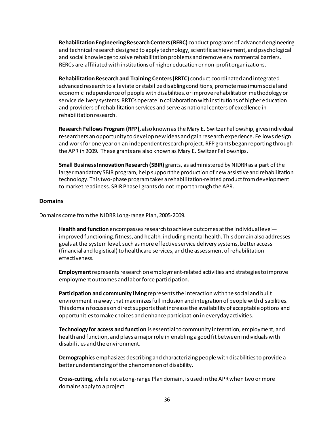**Rehabilitation Engineering Research Centers (RERC)** conduct programs of advanced engineering and technical research designed to apply technology, scientific achievement, and psychological and social knowledge to solve rehabilitation problems and remove environmental barriers. RERCs are affiliated with institutions of higher education or non-profit organizations.

**Rehabilitation Research and Training Centers (RRTC)** conduct coordinated and integrated advanced research to alleviate or stabilize disabling conditions, promote maximum social and economic independence of people with disabilities, or improve rehabilitation methodology or service delivery systems. RRTCs operate in collaboration with institutions of higher education and providers of rehabilitation services and serve as national centers of excellence in rehabilitation research.

**Research Fellows Program (RFP),** also known as the Mary E. Switzer Fellowship, gives individual researchers an opportunity to develop new ideas and gain research experience. Fellows design and work for one year on an independent research project. RFP grants began reporting through the APR in 2009. These grants are also known as Mary E. Switzer Fellowships.

**Small Business Innovation Research (SBIR)** grants, as administered by NIDRR as a part of the larger mandatory SBIR program, help support the production of new assistive and rehabilitation technology. This two-phase program takes a rehabilitation-related product from development to market readiness. SBIR Phase I grants do not report through the APR.

#### <span id="page-39-0"></span>**Domains**

Domains come from the NIDRR Long-range Plan, 2005-2009.

**Health and function**encompasses research to achieve outcomes at the individual level improved functioning, fitness, and health, including mental health. This domain also addresses goals at the system level, such as more effective service delivery systems, better access (financial and logistical) to healthcare services, and the assessment of rehabilitation effectiveness.

**Employment**represents research on employment-related activities and strategies to improve employment outcomes and labor force participation.

**Participation and community living** represents the interaction with the social and built environment in a way that maximizes full inclusion and integration of people with disabilities. This domain focuses on direct supports that increase the availability of acceptable options and opportunities to make choices and enhance participation in everyday activities.

**Technology for access and function** is essential to community integration, employment, and health and function, and plays a major role in enabling a good fit between individuals with disabilities and the environment.

**Demographics** emphasizes describing and characterizing people with disabilities to provide a better understanding of the phenomenon of disability.

**Cross-cutting**, while not a Long-range Plan domain, is used in the APR when two or more domains apply to a project.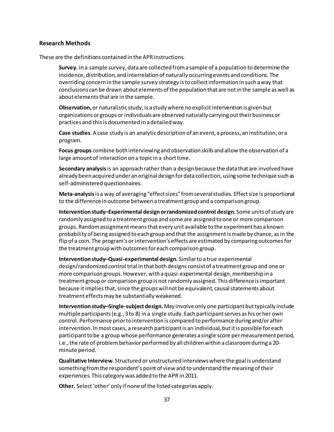#### <span id="page-40-0"></span>**Research Methods**

These are the definitions contained in the APR instructions.

**Survey.** In a sample survey, data are collected from a sample of a population to determine the incidence, distribution, and interrelation of naturally occurring events and conditions. The overriding concern in the sample survey strategy is to collect information in such a way that conclusions can be drawn about elements of the population that are not in the sample as well as about elements that are in the sample.

**Observation,** or naturalistic study, is a study where no explicit intervention is given but organizations or groups or individuals are observed naturally carrying out their business or practices and this is documented in a detailed way.

**Case studies**. A case study is an analytic description of an event, a process, an institution, or a program.

**Focus groups** combine both interviewing and observation skills and allow the observation of a large amount of interaction on a topic in a short time.

**Secondary analysis**is an approach rather than a design because the data that are involved have already been acquired under an original design for data collection, using some technique such as self-administered questionnaires.

**Meta-analysis**is a way of averaging "effect sizes" from several studies. Effect size is proportional to the difference in outcome between a treatment group and a comparison group.

**Intervention study–Experimental design or randomized control design.** Some units of study are randomly assigned to a treatment group and some are assigned to one or more comparison groups. Random assignment means that every unit available to the experiment has a known probability of being assigned to each group and that the assignment is made by chance, as in the flip of a coin. The program's or intervention's effects are estimated by comparing outcomes for the treatment group with outcomes for each comparison group.

**Intervention study–Quasi-experimental design.** Similar to a true experimental design/randomized control trial in that both designs consist of a treatment group and one or more comparison groups. However, with a quasi-experimental design, membership in a treatment group or comparison group is not randomly assigned. This difference is important because it implies that, since the groups will not be equivalent, causal statements about treatment effects may be substantially weakened.

**Intervention study–Single-subject design.** May involve only one participant but typically include multiple participants (e.g., 3 to 8) in a single study. Each participant serves as his or her own control. Performance prior to intervention is compared to performance during and/or after intervention. In most cases, a research participant is an individual, but it is possible for each participant to be a group whose performance generates a single score per measurement period, i.e., the rate of problem behavior performed by all children within a classroom during a 20 minute period.

**Qualitative Interview.** Structured or unstructured interviews where the goal is understand something from the respondent's point of view and to understand the meaning of their experiences. This category was added to the APR in 2011.

**Other.** Select 'other' only if none of the listed categories apply.